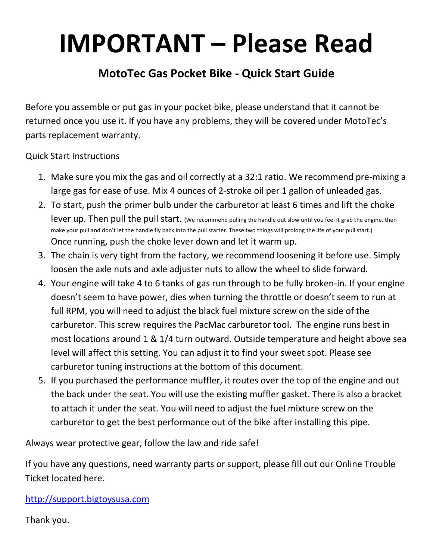## **IMPORTANT – Please Read**

## **MotoTec Gas Pocket Bike - Quick Start Guide**

Before you assemble or put gas in your pocket bike, please understand that it cannot be returned once you use it. If you have any problems, they will be covered under MotoTec's parts replacement warranty.

Quick Start Instructions

- 1. Make sure you mix the gas and oil correctly at a 32:1 ratio. We recommend pre-mixing a large gas for ease of use. Mix 4 ounces of 2-stroke oil per 1 gallon of unleaded gas.
- 2. To start, push the primer bulb under the carburetor at least 6 times and lift the choke lever up. Then pull the pull start. (We recommend pulling the handle out slow until you feel it grab the engine, then make your pull and don't let the handle fly back into the pull starter. These two things will prolong the life of your pull start.) Once running, push the choke lever down and let it warm up.
- 3. The chain is very tight from the factory, we recommend loosening it before use. Simply loosen the axle nuts and axle adjuster nuts to allow the wheel to slide forward.
- 4. Your engine will take 4 to 6 tanks of gas run through to be fully broken-in. If your engine doesn't seem to have power, dies when turning the throttle or doesn't seem to run at full RPM, you will need to adjust the black fuel mixture screw on the side of the carburetor. This screw requires the PacMac carburetor tool. The engine runs best in most locations around 1 & 1/4 turn outward. Outside temperature and height above sea level will affect this setting. You can adjust it to find your sweet spot. Please see carburetor tuning instructions at the bottom of this document.
- 5. If you purchased the performance muffler, it routes over the top of the engine and out the back under the seat. You will use the existing muffler gasket. There is also a bracket to attach it under the seat. You will need to adjust the fuel mixture screw on the carburetor to get the best performance out of the bike after installing this pipe.

Always wear protective gear, follow the law and ride safe!

If you have any questions, need warranty parts or support, please fill out our Online Trouble Ticket located here.

[http://support.bigtoysusa.com](http://support.bigtoysusa.com/)

Thank you.